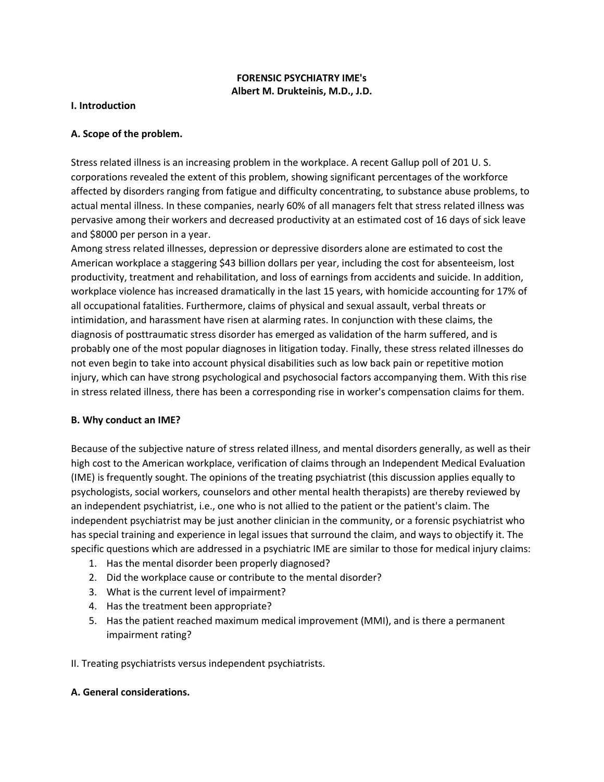## **FORENSIC PSYCHIATRY IME's Albert M. Drukteinis, M.D., J.D.**

#### **I. Introduction**

### **A. Scope of the problem.**

Stress related illness is an increasing problem in the workplace. A recent Gallup poll of 201 U. S. corporations revealed the extent of this problem, showing significant percentages of the workforce affected by disorders ranging from fatigue and difficulty concentrating, to substance abuse problems, to actual mental illness. In these companies, nearly 60% of all managers felt that stress related illness was pervasive among their workers and decreased productivity at an estimated cost of 16 days of sick leave and \$8000 per person in a year.

Among stress related illnesses, depression or depressive disorders alone are estimated to cost the American workplace a staggering \$43 billion dollars per year, including the cost for absenteeism, lost productivity, treatment and rehabilitation, and loss of earnings from accidents and suicide. In addition, workplace violence has increased dramatically in the last 15 years, with homicide accounting for 17% of all occupational fatalities. Furthermore, claims of physical and sexual assault, verbal threats or intimidation, and harassment have risen at alarming rates. In conjunction with these claims, the diagnosis of posttraumatic stress disorder has emerged as validation of the harm suffered, and is probably one of the most popular diagnoses in litigation today. Finally, these stress related illnesses do not even begin to take into account physical disabilities such as low back pain or repetitive motion injury, which can have strong psychological and psychosocial factors accompanying them. With this rise in stress related illness, there has been a corresponding rise in worker's compensation claims for them.

### **B. Why conduct an IME?**

Because of the subjective nature of stress related illness, and mental disorders generally, as well as their high cost to the American workplace, verification of claims through an Independent Medical Evaluation (IME) is frequently sought. The opinions of the treating psychiatrist (this discussion applies equally to psychologists, social workers, counselors and other mental health therapists) are thereby reviewed by an independent psychiatrist, i.e., one who is not allied to the patient or the patient's claim. The independent psychiatrist may be just another clinician in the community, or a forensic psychiatrist who has special training and experience in legal issues that surround the claim, and ways to objectify it. The specific questions which are addressed in a psychiatric IME are similar to those for medical injury claims:

- 1. Has the mental disorder been properly diagnosed?
- 2. Did the workplace cause or contribute to the mental disorder?
- 3. What is the current level of impairment?
- 4. Has the treatment been appropriate?
- 5. Has the patient reached maximum medical improvement (MMI), and is there a permanent impairment rating?

II. Treating psychiatrists versus independent psychiatrists.

### **A. General considerations.**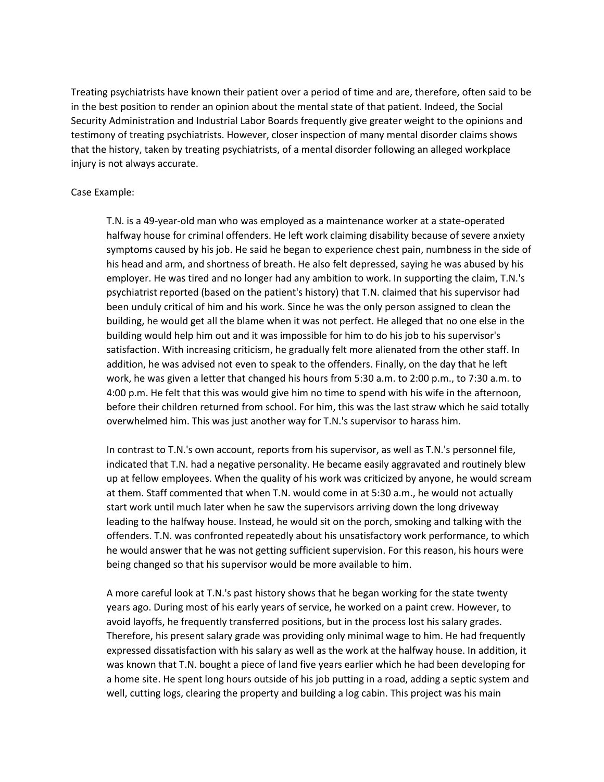Treating psychiatrists have known their patient over a period of time and are, therefore, often said to be in the best position to render an opinion about the mental state of that patient. Indeed, the Social Security Administration and Industrial Labor Boards frequently give greater weight to the opinions and testimony of treating psychiatrists. However, closer inspection of many mental disorder claims shows that the history, taken by treating psychiatrists, of a mental disorder following an alleged workplace injury is not always accurate.

#### Case Example:

T.N. is a 49-year-old man who was employed as a maintenance worker at a state-operated halfway house for criminal offenders. He left work claiming disability because of severe anxiety symptoms caused by his job. He said he began to experience chest pain, numbness in the side of his head and arm, and shortness of breath. He also felt depressed, saying he was abused by his employer. He was tired and no longer had any ambition to work. In supporting the claim, T.N.'s psychiatrist reported (based on the patient's history) that T.N. claimed that his supervisor had been unduly critical of him and his work. Since he was the only person assigned to clean the building, he would get all the blame when it was not perfect. He alleged that no one else in the building would help him out and it was impossible for him to do his job to his supervisor's satisfaction. With increasing criticism, he gradually felt more alienated from the other staff. In addition, he was advised not even to speak to the offenders. Finally, on the day that he left work, he was given a letter that changed his hours from 5:30 a.m. to 2:00 p.m., to 7:30 a.m. to 4:00 p.m. He felt that this was would give him no time to spend with his wife in the afternoon, before their children returned from school. For him, this was the last straw which he said totally overwhelmed him. This was just another way for T.N.'s supervisor to harass him.

In contrast to T.N.'s own account, reports from his supervisor, as well as T.N.'s personnel file, indicated that T.N. had a negative personality. He became easily aggravated and routinely blew up at fellow employees. When the quality of his work was criticized by anyone, he would scream at them. Staff commented that when T.N. would come in at 5:30 a.m., he would not actually start work until much later when he saw the supervisors arriving down the long driveway leading to the halfway house. Instead, he would sit on the porch, smoking and talking with the offenders. T.N. was confronted repeatedly about his unsatisfactory work performance, to which he would answer that he was not getting sufficient supervision. For this reason, his hours were being changed so that his supervisor would be more available to him.

A more careful look at T.N.'s past history shows that he began working for the state twenty years ago. During most of his early years of service, he worked on a paint crew. However, to avoid layoffs, he frequently transferred positions, but in the process lost his salary grades. Therefore, his present salary grade was providing only minimal wage to him. He had frequently expressed dissatisfaction with his salary as well as the work at the halfway house. In addition, it was known that T.N. bought a piece of land five years earlier which he had been developing for a home site. He spent long hours outside of his job putting in a road, adding a septic system and well, cutting logs, clearing the property and building a log cabin. This project was his main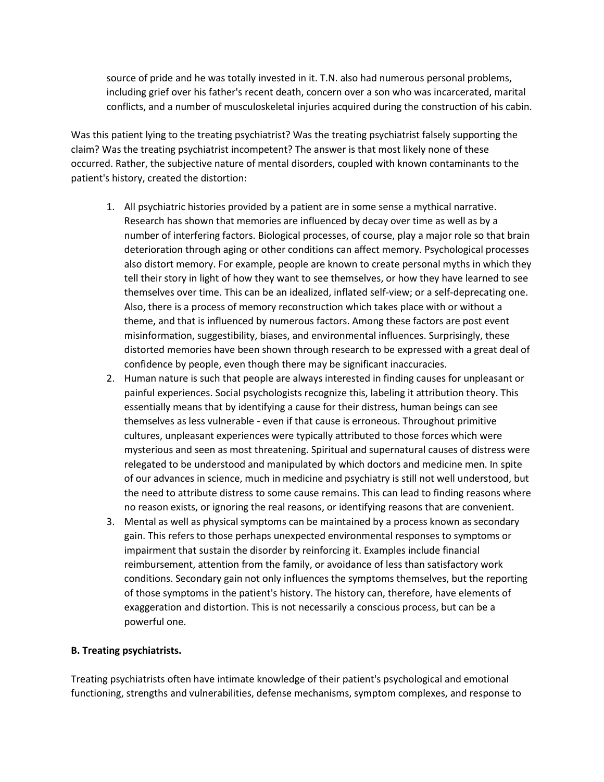source of pride and he was totally invested in it. T.N. also had numerous personal problems, including grief over his father's recent death, concern over a son who was incarcerated, marital conflicts, and a number of musculoskeletal injuries acquired during the construction of his cabin.

Was this patient lying to the treating psychiatrist? Was the treating psychiatrist falsely supporting the claim? Was the treating psychiatrist incompetent? The answer is that most likely none of these occurred. Rather, the subjective nature of mental disorders, coupled with known contaminants to the patient's history, created the distortion:

- 1. All psychiatric histories provided by a patient are in some sense a mythical narrative. Research has shown that memories are influenced by decay over time as well as by a number of interfering factors. Biological processes, of course, play a major role so that brain deterioration through aging or other conditions can affect memory. Psychological processes also distort memory. For example, people are known to create personal myths in which they tell their story in light of how they want to see themselves, or how they have learned to see themselves over time. This can be an idealized, inflated self-view; or a self-deprecating one. Also, there is a process of memory reconstruction which takes place with or without a theme, and that is influenced by numerous factors. Among these factors are post event misinformation, suggestibility, biases, and environmental influences. Surprisingly, these distorted memories have been shown through research to be expressed with a great deal of confidence by people, even though there may be significant inaccuracies.
- 2. Human nature is such that people are always interested in finding causes for unpleasant or painful experiences. Social psychologists recognize this, labeling it attribution theory. This essentially means that by identifying a cause for their distress, human beings can see themselves as less vulnerable - even if that cause is erroneous. Throughout primitive cultures, unpleasant experiences were typically attributed to those forces which were mysterious and seen as most threatening. Spiritual and supernatural causes of distress were relegated to be understood and manipulated by which doctors and medicine men. In spite of our advances in science, much in medicine and psychiatry is still not well understood, but the need to attribute distress to some cause remains. This can lead to finding reasons where no reason exists, or ignoring the real reasons, or identifying reasons that are convenient.
- 3. Mental as well as physical symptoms can be maintained by a process known as secondary gain. This refers to those perhaps unexpected environmental responses to symptoms or impairment that sustain the disorder by reinforcing it. Examples include financial reimbursement, attention from the family, or avoidance of less than satisfactory work conditions. Secondary gain not only influences the symptoms themselves, but the reporting of those symptoms in the patient's history. The history can, therefore, have elements of exaggeration and distortion. This is not necessarily a conscious process, but can be a powerful one.

### **B. Treating psychiatrists.**

Treating psychiatrists often have intimate knowledge of their patient's psychological and emotional functioning, strengths and vulnerabilities, defense mechanisms, symptom complexes, and response to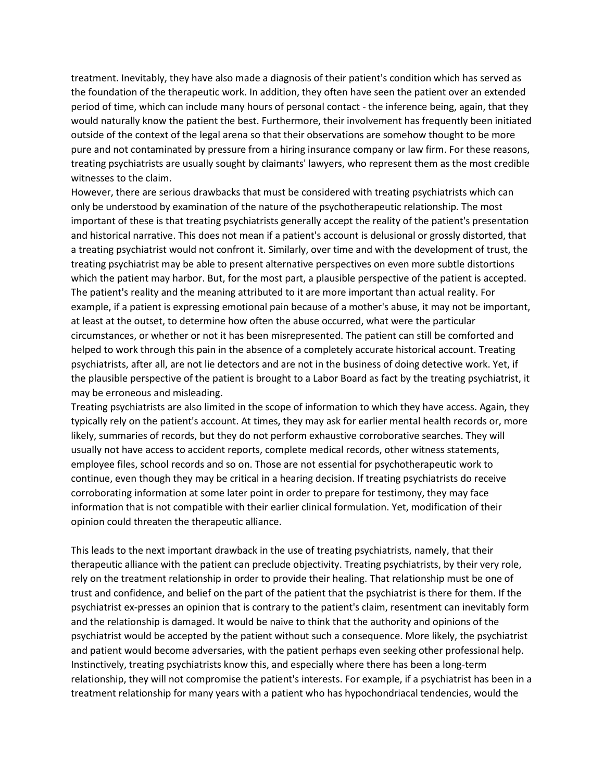treatment. Inevitably, they have also made a diagnosis of their patient's condition which has served as the foundation of the therapeutic work. In addition, they often have seen the patient over an extended period of time, which can include many hours of personal contact - the inference being, again, that they would naturally know the patient the best. Furthermore, their involvement has frequently been initiated outside of the context of the legal arena so that their observations are somehow thought to be more pure and not contaminated by pressure from a hiring insurance company or law firm. For these reasons, treating psychiatrists are usually sought by claimants' lawyers, who represent them as the most credible witnesses to the claim.

However, there are serious drawbacks that must be considered with treating psychiatrists which can only be understood by examination of the nature of the psychotherapeutic relationship. The most important of these is that treating psychiatrists generally accept the reality of the patient's presentation and historical narrative. This does not mean if a patient's account is delusional or grossly distorted, that a treating psychiatrist would not confront it. Similarly, over time and with the development of trust, the treating psychiatrist may be able to present alternative perspectives on even more subtle distortions which the patient may harbor. But, for the most part, a plausible perspective of the patient is accepted. The patient's reality and the meaning attributed to it are more important than actual reality. For example, if a patient is expressing emotional pain because of a mother's abuse, it may not be important, at least at the outset, to determine how often the abuse occurred, what were the particular circumstances, or whether or not it has been misrepresented. The patient can still be comforted and helped to work through this pain in the absence of a completely accurate historical account. Treating psychiatrists, after all, are not lie detectors and are not in the business of doing detective work. Yet, if the plausible perspective of the patient is brought to a Labor Board as fact by the treating psychiatrist, it may be erroneous and misleading.

Treating psychiatrists are also limited in the scope of information to which they have access. Again, they typically rely on the patient's account. At times, they may ask for earlier mental health records or, more likely, summaries of records, but they do not perform exhaustive corroborative searches. They will usually not have access to accident reports, complete medical records, other witness statements, employee files, school records and so on. Those are not essential for psychotherapeutic work to continue, even though they may be critical in a hearing decision. If treating psychiatrists do receive corroborating information at some later point in order to prepare for testimony, they may face information that is not compatible with their earlier clinical formulation. Yet, modification of their opinion could threaten the therapeutic alliance.

This leads to the next important drawback in the use of treating psychiatrists, namely, that their therapeutic alliance with the patient can preclude objectivity. Treating psychiatrists, by their very role, rely on the treatment relationship in order to provide their healing. That relationship must be one of trust and confidence, and belief on the part of the patient that the psychiatrist is there for them. If the psychiatrist ex-presses an opinion that is contrary to the patient's claim, resentment can inevitably form and the relationship is damaged. It would be naive to think that the authority and opinions of the psychiatrist would be accepted by the patient without such a consequence. More likely, the psychiatrist and patient would become adversaries, with the patient perhaps even seeking other professional help. Instinctively, treating psychiatrists know this, and especially where there has been a long-term relationship, they will not compromise the patient's interests. For example, if a psychiatrist has been in a treatment relationship for many years with a patient who has hypochondriacal tendencies, would the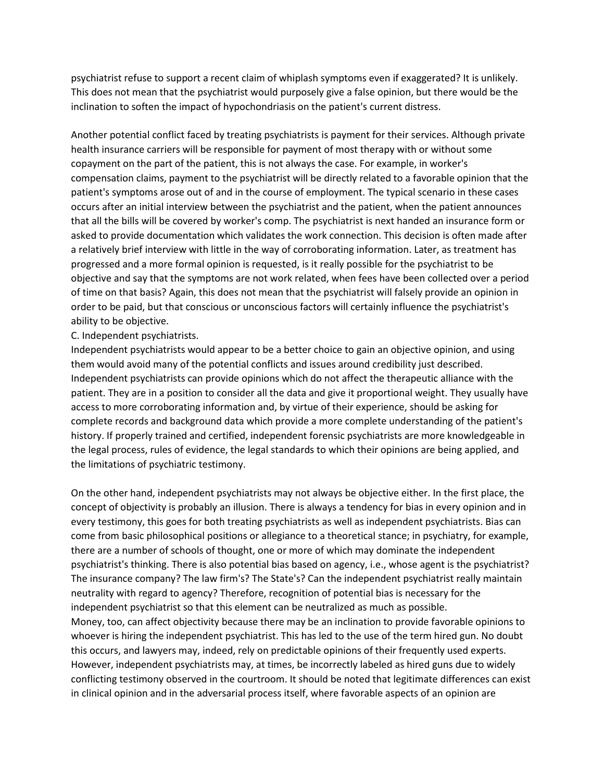psychiatrist refuse to support a recent claim of whiplash symptoms even if exaggerated? It is unlikely. This does not mean that the psychiatrist would purposely give a false opinion, but there would be the inclination to soften the impact of hypochondriasis on the patient's current distress.

Another potential conflict faced by treating psychiatrists is payment for their services. Although private health insurance carriers will be responsible for payment of most therapy with or without some copayment on the part of the patient, this is not always the case. For example, in worker's compensation claims, payment to the psychiatrist will be directly related to a favorable opinion that the patient's symptoms arose out of and in the course of employment. The typical scenario in these cases occurs after an initial interview between the psychiatrist and the patient, when the patient announces that all the bills will be covered by worker's comp. The psychiatrist is next handed an insurance form or asked to provide documentation which validates the work connection. This decision is often made after a relatively brief interview with little in the way of corroborating information. Later, as treatment has progressed and a more formal opinion is requested, is it really possible for the psychiatrist to be objective and say that the symptoms are not work related, when fees have been collected over a period of time on that basis? Again, this does not mean that the psychiatrist will falsely provide an opinion in order to be paid, but that conscious or unconscious factors will certainly influence the psychiatrist's ability to be objective.

#### C. Independent psychiatrists.

Independent psychiatrists would appear to be a better choice to gain an objective opinion, and using them would avoid many of the potential conflicts and issues around credibility just described. Independent psychiatrists can provide opinions which do not affect the therapeutic alliance with the patient. They are in a position to consider all the data and give it proportional weight. They usually have access to more corroborating information and, by virtue of their experience, should be asking for complete records and background data which provide a more complete understanding of the patient's history. If properly trained and certified, independent forensic psychiatrists are more knowledgeable in the legal process, rules of evidence, the legal standards to which their opinions are being applied, and the limitations of psychiatric testimony.

On the other hand, independent psychiatrists may not always be objective either. In the first place, the concept of objectivity is probably an illusion. There is always a tendency for bias in every opinion and in every testimony, this goes for both treating psychiatrists as well as independent psychiatrists. Bias can come from basic philosophical positions or allegiance to a theoretical stance; in psychiatry, for example, there are a number of schools of thought, one or more of which may dominate the independent psychiatrist's thinking. There is also potential bias based on agency, i.e., whose agent is the psychiatrist? The insurance company? The law firm's? The State's? Can the independent psychiatrist really maintain neutrality with regard to agency? Therefore, recognition of potential bias is necessary for the independent psychiatrist so that this element can be neutralized as much as possible. Money, too, can affect objectivity because there may be an inclination to provide favorable opinions to whoever is hiring the independent psychiatrist. This has led to the use of the term hired gun. No doubt this occurs, and lawyers may, indeed, rely on predictable opinions of their frequently used experts. However, independent psychiatrists may, at times, be incorrectly labeled as hired guns due to widely conflicting testimony observed in the courtroom. It should be noted that legitimate differences can exist in clinical opinion and in the adversarial process itself, where favorable aspects of an opinion are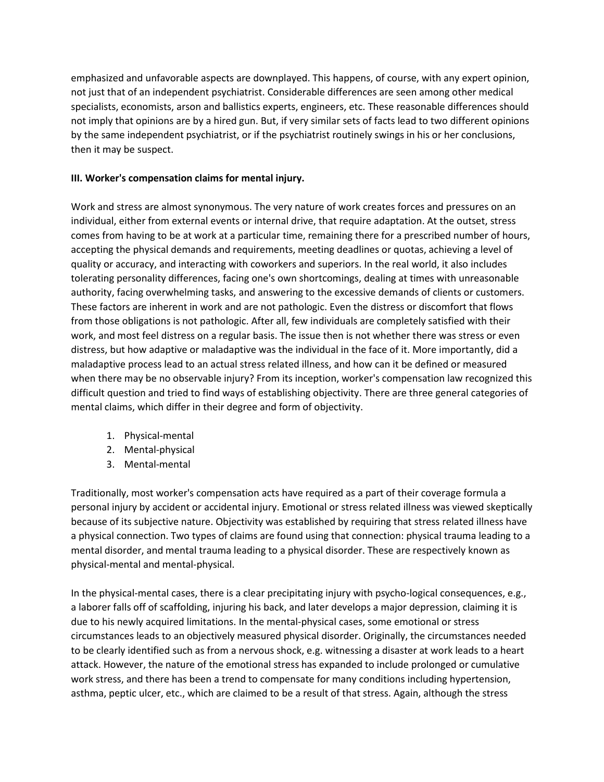emphasized and unfavorable aspects are downplayed. This happens, of course, with any expert opinion, not just that of an independent psychiatrist. Considerable differences are seen among other medical specialists, economists, arson and ballistics experts, engineers, etc. These reasonable differences should not imply that opinions are by a hired gun. But, if very similar sets of facts lead to two different opinions by the same independent psychiatrist, or if the psychiatrist routinely swings in his or her conclusions, then it may be suspect.

### **III. Worker's compensation claims for mental injury.**

Work and stress are almost synonymous. The very nature of work creates forces and pressures on an individual, either from external events or internal drive, that require adaptation. At the outset, stress comes from having to be at work at a particular time, remaining there for a prescribed number of hours, accepting the physical demands and requirements, meeting deadlines or quotas, achieving a level of quality or accuracy, and interacting with coworkers and superiors. In the real world, it also includes tolerating personality differences, facing one's own shortcomings, dealing at times with unreasonable authority, facing overwhelming tasks, and answering to the excessive demands of clients or customers. These factors are inherent in work and are not pathologic. Even the distress or discomfort that flows from those obligations is not pathologic. After all, few individuals are completely satisfied with their work, and most feel distress on a regular basis. The issue then is not whether there was stress or even distress, but how adaptive or maladaptive was the individual in the face of it. More importantly, did a maladaptive process lead to an actual stress related illness, and how can it be defined or measured when there may be no observable injury? From its inception, worker's compensation law recognized this difficult question and tried to find ways of establishing objectivity. There are three general categories of mental claims, which differ in their degree and form of objectivity.

- 1. Physical-mental
- 2. Mental-physical
- 3. Mental-mental

Traditionally, most worker's compensation acts have required as a part of their coverage formula a personal injury by accident or accidental injury. Emotional or stress related illness was viewed skeptically because of its subjective nature. Objectivity was established by requiring that stress related illness have a physical connection. Two types of claims are found using that connection: physical trauma leading to a mental disorder, and mental trauma leading to a physical disorder. These are respectively known as physical-mental and mental-physical.

In the physical-mental cases, there is a clear precipitating injury with psycho-logical consequences, e.g., a laborer falls off of scaffolding, injuring his back, and later develops a major depression, claiming it is due to his newly acquired limitations. In the mental-physical cases, some emotional or stress circumstances leads to an objectively measured physical disorder. Originally, the circumstances needed to be clearly identified such as from a nervous shock, e.g. witnessing a disaster at work leads to a heart attack. However, the nature of the emotional stress has expanded to include prolonged or cumulative work stress, and there has been a trend to compensate for many conditions including hypertension, asthma, peptic ulcer, etc., which are claimed to be a result of that stress. Again, although the stress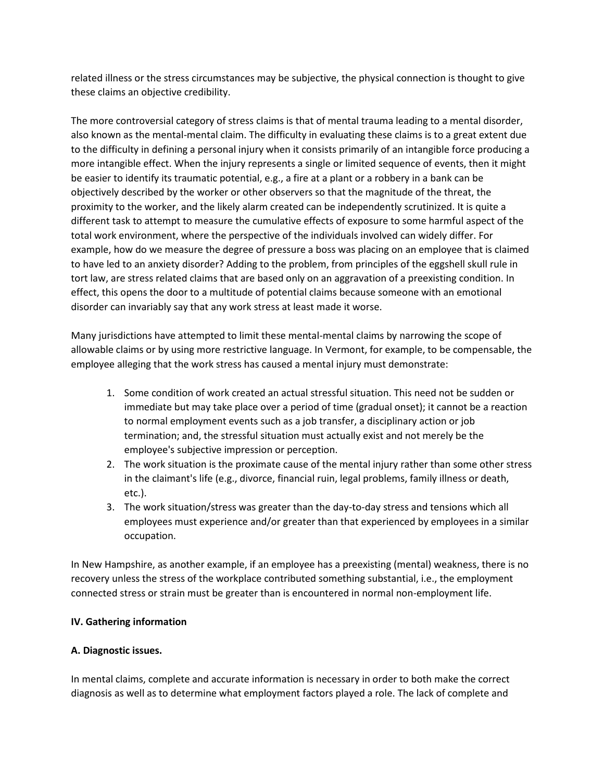related illness or the stress circumstances may be subjective, the physical connection is thought to give these claims an objective credibility.

The more controversial category of stress claims is that of mental trauma leading to a mental disorder, also known as the mental-mental claim. The difficulty in evaluating these claims is to a great extent due to the difficulty in defining a personal injury when it consists primarily of an intangible force producing a more intangible effect. When the injury represents a single or limited sequence of events, then it might be easier to identify its traumatic potential, e.g., a fire at a plant or a robbery in a bank can be objectively described by the worker or other observers so that the magnitude of the threat, the proximity to the worker, and the likely alarm created can be independently scrutinized. It is quite a different task to attempt to measure the cumulative effects of exposure to some harmful aspect of the total work environment, where the perspective of the individuals involved can widely differ. For example, how do we measure the degree of pressure a boss was placing on an employee that is claimed to have led to an anxiety disorder? Adding to the problem, from principles of the eggshell skull rule in tort law, are stress related claims that are based only on an aggravation of a preexisting condition. In effect, this opens the door to a multitude of potential claims because someone with an emotional disorder can invariably say that any work stress at least made it worse.

Many jurisdictions have attempted to limit these mental-mental claims by narrowing the scope of allowable claims or by using more restrictive language. In Vermont, for example, to be compensable, the employee alleging that the work stress has caused a mental injury must demonstrate:

- 1. Some condition of work created an actual stressful situation. This need not be sudden or immediate but may take place over a period of time (gradual onset); it cannot be a reaction to normal employment events such as a job transfer, a disciplinary action or job termination; and, the stressful situation must actually exist and not merely be the employee's subjective impression or perception.
- 2. The work situation is the proximate cause of the mental injury rather than some other stress in the claimant's life (e.g., divorce, financial ruin, legal problems, family illness or death, etc.).
- 3. The work situation/stress was greater than the day-to-day stress and tensions which all employees must experience and/or greater than that experienced by employees in a similar occupation.

In New Hampshire, as another example, if an employee has a preexisting (mental) weakness, there is no recovery unless the stress of the workplace contributed something substantial, i.e., the employment connected stress or strain must be greater than is encountered in normal non-employment life.

## **IV. Gathering information**

### **A. Diagnostic issues.**

In mental claims, complete and accurate information is necessary in order to both make the correct diagnosis as well as to determine what employment factors played a role. The lack of complete and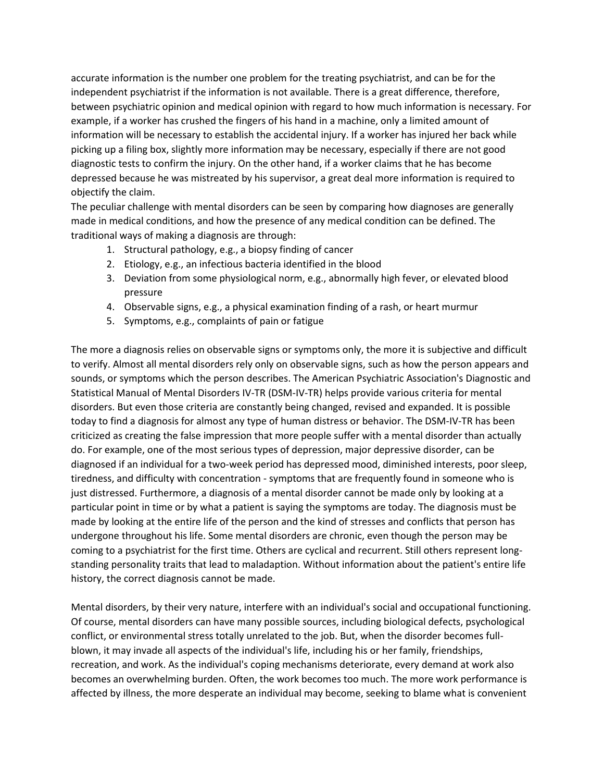accurate information is the number one problem for the treating psychiatrist, and can be for the independent psychiatrist if the information is not available. There is a great difference, therefore, between psychiatric opinion and medical opinion with regard to how much information is necessary. For example, if a worker has crushed the fingers of his hand in a machine, only a limited amount of information will be necessary to establish the accidental injury. If a worker has injured her back while picking up a filing box, slightly more information may be necessary, especially if there are not good diagnostic tests to confirm the injury. On the other hand, if a worker claims that he has become depressed because he was mistreated by his supervisor, a great deal more information is required to objectify the claim.

The peculiar challenge with mental disorders can be seen by comparing how diagnoses are generally made in medical conditions, and how the presence of any medical condition can be defined. The traditional ways of making a diagnosis are through:

- 1. Structural pathology, e.g., a biopsy finding of cancer
- 2. Etiology, e.g., an infectious bacteria identified in the blood
- 3. Deviation from some physiological norm, e.g., abnormally high fever, or elevated blood pressure
- 4. Observable signs, e.g., a physical examination finding of a rash, or heart murmur
- 5. Symptoms, e.g., complaints of pain or fatigue

The more a diagnosis relies on observable signs or symptoms only, the more it is subjective and difficult to verify. Almost all mental disorders rely only on observable signs, such as how the person appears and sounds, or symptoms which the person describes. The American Psychiatric Association's Diagnostic and Statistical Manual of Mental Disorders IV-TR (DSM-IV-TR) helps provide various criteria for mental disorders. But even those criteria are constantly being changed, revised and expanded. It is possible today to find a diagnosis for almost any type of human distress or behavior. The DSM-IV-TR has been criticized as creating the false impression that more people suffer with a mental disorder than actually do. For example, one of the most serious types of depression, major depressive disorder, can be diagnosed if an individual for a two-week period has depressed mood, diminished interests, poor sleep, tiredness, and difficulty with concentration - symptoms that are frequently found in someone who is just distressed. Furthermore, a diagnosis of a mental disorder cannot be made only by looking at a particular point in time or by what a patient is saying the symptoms are today. The diagnosis must be made by looking at the entire life of the person and the kind of stresses and conflicts that person has undergone throughout his life. Some mental disorders are chronic, even though the person may be coming to a psychiatrist for the first time. Others are cyclical and recurrent. Still others represent longstanding personality traits that lead to maladaption. Without information about the patient's entire life history, the correct diagnosis cannot be made.

Mental disorders, by their very nature, interfere with an individual's social and occupational functioning. Of course, mental disorders can have many possible sources, including biological defects, psychological conflict, or environmental stress totally unrelated to the job. But, when the disorder becomes fullblown, it may invade all aspects of the individual's life, including his or her family, friendships, recreation, and work. As the individual's coping mechanisms deteriorate, every demand at work also becomes an overwhelming burden. Often, the work becomes too much. The more work performance is affected by illness, the more desperate an individual may become, seeking to blame what is convenient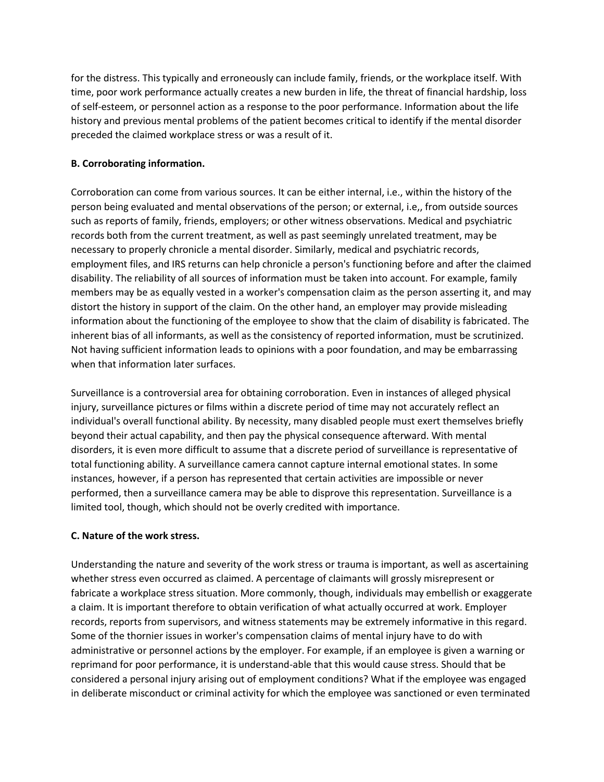for the distress. This typically and erroneously can include family, friends, or the workplace itself. With time, poor work performance actually creates a new burden in life, the threat of financial hardship, loss of self-esteem, or personnel action as a response to the poor performance. Information about the life history and previous mental problems of the patient becomes critical to identify if the mental disorder preceded the claimed workplace stress or was a result of it.

### **B. Corroborating information.**

Corroboration can come from various sources. It can be either internal, i.e., within the history of the person being evaluated and mental observations of the person; or external, i.e,, from outside sources such as reports of family, friends, employers; or other witness observations. Medical and psychiatric records both from the current treatment, as well as past seemingly unrelated treatment, may be necessary to properly chronicle a mental disorder. Similarly, medical and psychiatric records, employment files, and IRS returns can help chronicle a person's functioning before and after the claimed disability. The reliability of all sources of information must be taken into account. For example, family members may be as equally vested in a worker's compensation claim as the person asserting it, and may distort the history in support of the claim. On the other hand, an employer may provide misleading information about the functioning of the employee to show that the claim of disability is fabricated. The inherent bias of all informants, as well as the consistency of reported information, must be scrutinized. Not having sufficient information leads to opinions with a poor foundation, and may be embarrassing when that information later surfaces.

Surveillance is a controversial area for obtaining corroboration. Even in instances of alleged physical injury, surveillance pictures or films within a discrete period of time may not accurately reflect an individual's overall functional ability. By necessity, many disabled people must exert themselves briefly beyond their actual capability, and then pay the physical consequence afterward. With mental disorders, it is even more difficult to assume that a discrete period of surveillance is representative of total functioning ability. A surveillance camera cannot capture internal emotional states. In some instances, however, if a person has represented that certain activities are impossible or never performed, then a surveillance camera may be able to disprove this representation. Surveillance is a limited tool, though, which should not be overly credited with importance.

### **C. Nature of the work stress.**

Understanding the nature and severity of the work stress or trauma is important, as well as ascertaining whether stress even occurred as claimed. A percentage of claimants will grossly misrepresent or fabricate a workplace stress situation. More commonly, though, individuals may embellish or exaggerate a claim. It is important therefore to obtain verification of what actually occurred at work. Employer records, reports from supervisors, and witness statements may be extremely informative in this regard. Some of the thornier issues in worker's compensation claims of mental injury have to do with administrative or personnel actions by the employer. For example, if an employee is given a warning or reprimand for poor performance, it is understand-able that this would cause stress. Should that be considered a personal injury arising out of employment conditions? What if the employee was engaged in deliberate misconduct or criminal activity for which the employee was sanctioned or even terminated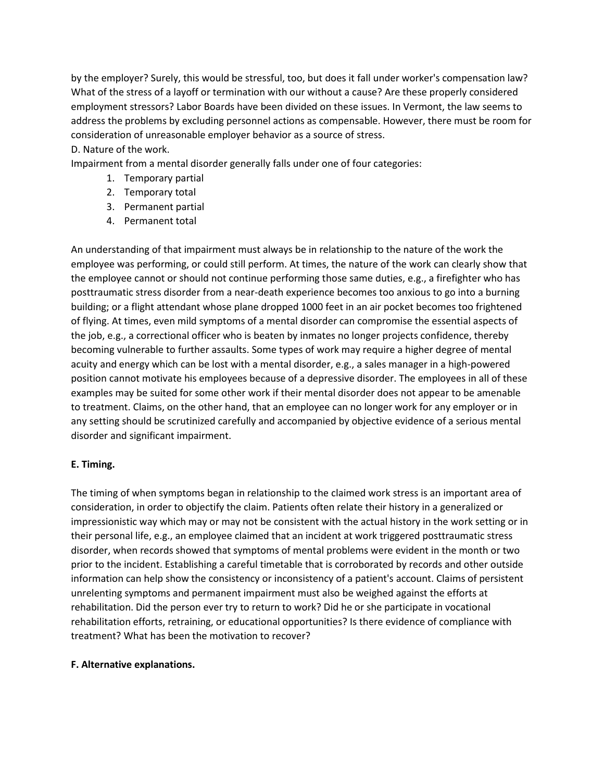by the employer? Surely, this would be stressful, too, but does it fall under worker's compensation law? What of the stress of a layoff or termination with our without a cause? Are these properly considered employment stressors? Labor Boards have been divided on these issues. In Vermont, the law seems to address the problems by excluding personnel actions as compensable. However, there must be room for consideration of unreasonable employer behavior as a source of stress.

### D. Nature of the work.

Impairment from a mental disorder generally falls under one of four categories:

- 1. Temporary partial
- 2. Temporary total
- 3. Permanent partial
- 4. Permanent total

An understanding of that impairment must always be in relationship to the nature of the work the employee was performing, or could still perform. At times, the nature of the work can clearly show that the employee cannot or should not continue performing those same duties, e.g., a firefighter who has posttraumatic stress disorder from a near-death experience becomes too anxious to go into a burning building; or a flight attendant whose plane dropped 1000 feet in an air pocket becomes too frightened of flying. At times, even mild symptoms of a mental disorder can compromise the essential aspects of the job, e.g., a correctional officer who is beaten by inmates no longer projects confidence, thereby becoming vulnerable to further assaults. Some types of work may require a higher degree of mental acuity and energy which can be lost with a mental disorder, e.g., a sales manager in a high-powered position cannot motivate his employees because of a depressive disorder. The employees in all of these examples may be suited for some other work if their mental disorder does not appear to be amenable to treatment. Claims, on the other hand, that an employee can no longer work for any employer or in any setting should be scrutinized carefully and accompanied by objective evidence of a serious mental disorder and significant impairment.

### **E. Timing.**

The timing of when symptoms began in relationship to the claimed work stress is an important area of consideration, in order to objectify the claim. Patients often relate their history in a generalized or impressionistic way which may or may not be consistent with the actual history in the work setting or in their personal life, e.g., an employee claimed that an incident at work triggered posttraumatic stress disorder, when records showed that symptoms of mental problems were evident in the month or two prior to the incident. Establishing a careful timetable that is corroborated by records and other outside information can help show the consistency or inconsistency of a patient's account. Claims of persistent unrelenting symptoms and permanent impairment must also be weighed against the efforts at rehabilitation. Did the person ever try to return to work? Did he or she participate in vocational rehabilitation efforts, retraining, or educational opportunities? Is there evidence of compliance with treatment? What has been the motivation to recover?

### **F. Alternative explanations.**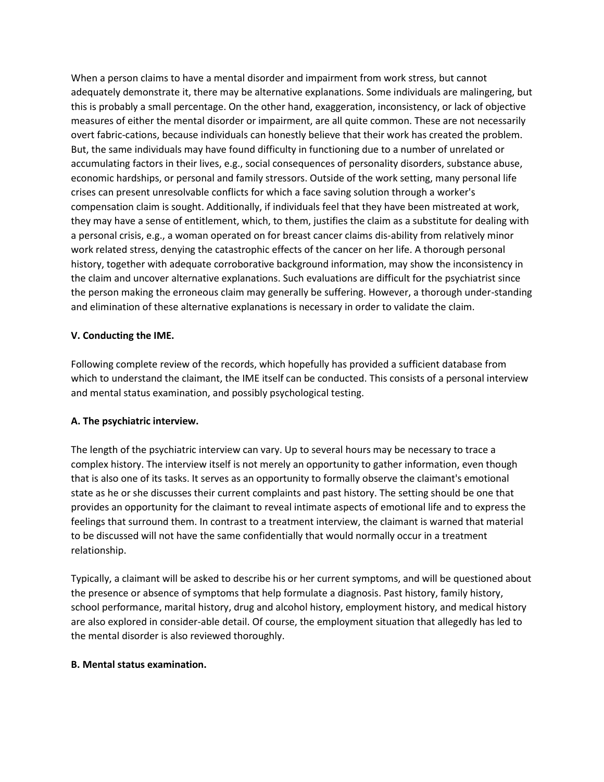When a person claims to have a mental disorder and impairment from work stress, but cannot adequately demonstrate it, there may be alternative explanations. Some individuals are malingering, but this is probably a small percentage. On the other hand, exaggeration, inconsistency, or lack of objective measures of either the mental disorder or impairment, are all quite common. These are not necessarily overt fabric-cations, because individuals can honestly believe that their work has created the problem. But, the same individuals may have found difficulty in functioning due to a number of unrelated or accumulating factors in their lives, e.g., social consequences of personality disorders, substance abuse, economic hardships, or personal and family stressors. Outside of the work setting, many personal life crises can present unresolvable conflicts for which a face saving solution through a worker's compensation claim is sought. Additionally, if individuals feel that they have been mistreated at work, they may have a sense of entitlement, which, to them, justifies the claim as a substitute for dealing with a personal crisis, e.g., a woman operated on for breast cancer claims dis-ability from relatively minor work related stress, denying the catastrophic effects of the cancer on her life. A thorough personal history, together with adequate corroborative background information, may show the inconsistency in the claim and uncover alternative explanations. Such evaluations are difficult for the psychiatrist since the person making the erroneous claim may generally be suffering. However, a thorough under-standing and elimination of these alternative explanations is necessary in order to validate the claim.

### **V. Conducting the IME.**

Following complete review of the records, which hopefully has provided a sufficient database from which to understand the claimant, the IME itself can be conducted. This consists of a personal interview and mental status examination, and possibly psychological testing.

## **A. The psychiatric interview.**

The length of the psychiatric interview can vary. Up to several hours may be necessary to trace a complex history. The interview itself is not merely an opportunity to gather information, even though that is also one of its tasks. It serves as an opportunity to formally observe the claimant's emotional state as he or she discusses their current complaints and past history. The setting should be one that provides an opportunity for the claimant to reveal intimate aspects of emotional life and to express the feelings that surround them. In contrast to a treatment interview, the claimant is warned that material to be discussed will not have the same confidentially that would normally occur in a treatment relationship.

Typically, a claimant will be asked to describe his or her current symptoms, and will be questioned about the presence or absence of symptoms that help formulate a diagnosis. Past history, family history, school performance, marital history, drug and alcohol history, employment history, and medical history are also explored in consider-able detail. Of course, the employment situation that allegedly has led to the mental disorder is also reviewed thoroughly.

### **B. Mental status examination.**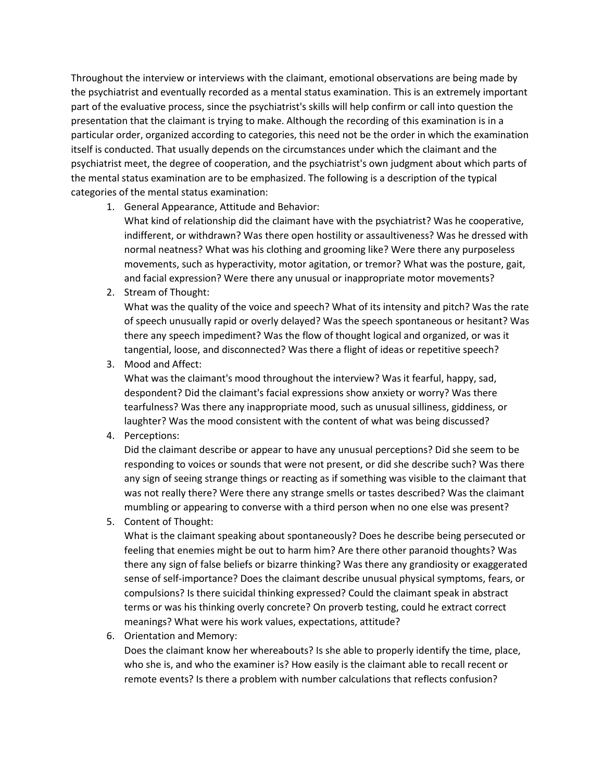Throughout the interview or interviews with the claimant, emotional observations are being made by the psychiatrist and eventually recorded as a mental status examination. This is an extremely important part of the evaluative process, since the psychiatrist's skills will help confirm or call into question the presentation that the claimant is trying to make. Although the recording of this examination is in a particular order, organized according to categories, this need not be the order in which the examination itself is conducted. That usually depends on the circumstances under which the claimant and the psychiatrist meet, the degree of cooperation, and the psychiatrist's own judgment about which parts of the mental status examination are to be emphasized. The following is a description of the typical categories of the mental status examination:

1. General Appearance, Attitude and Behavior:

What kind of relationship did the claimant have with the psychiatrist? Was he cooperative, indifferent, or withdrawn? Was there open hostility or assaultiveness? Was he dressed with normal neatness? What was his clothing and grooming like? Were there any purposeless movements, such as hyperactivity, motor agitation, or tremor? What was the posture, gait, and facial expression? Were there any unusual or inappropriate motor movements?

2. Stream of Thought:

What was the quality of the voice and speech? What of its intensity and pitch? Was the rate of speech unusually rapid or overly delayed? Was the speech spontaneous or hesitant? Was there any speech impediment? Was the flow of thought logical and organized, or was it tangential, loose, and disconnected? Was there a flight of ideas or repetitive speech?

3. Mood and Affect:

What was the claimant's mood throughout the interview? Was it fearful, happy, sad, despondent? Did the claimant's facial expressions show anxiety or worry? Was there tearfulness? Was there any inappropriate mood, such as unusual silliness, giddiness, or laughter? Was the mood consistent with the content of what was being discussed?

4. Perceptions:

Did the claimant describe or appear to have any unusual perceptions? Did she seem to be responding to voices or sounds that were not present, or did she describe such? Was there any sign of seeing strange things or reacting as if something was visible to the claimant that was not really there? Were there any strange smells or tastes described? Was the claimant mumbling or appearing to converse with a third person when no one else was present?

5. Content of Thought:

What is the claimant speaking about spontaneously? Does he describe being persecuted or feeling that enemies might be out to harm him? Are there other paranoid thoughts? Was there any sign of false beliefs or bizarre thinking? Was there any grandiosity or exaggerated sense of self-importance? Does the claimant describe unusual physical symptoms, fears, or compulsions? Is there suicidal thinking expressed? Could the claimant speak in abstract terms or was his thinking overly concrete? On proverb testing, could he extract correct meanings? What were his work values, expectations, attitude?

6. Orientation and Memory:

Does the claimant know her whereabouts? Is she able to properly identify the time, place, who she is, and who the examiner is? How easily is the claimant able to recall recent or remote events? Is there a problem with number calculations that reflects confusion?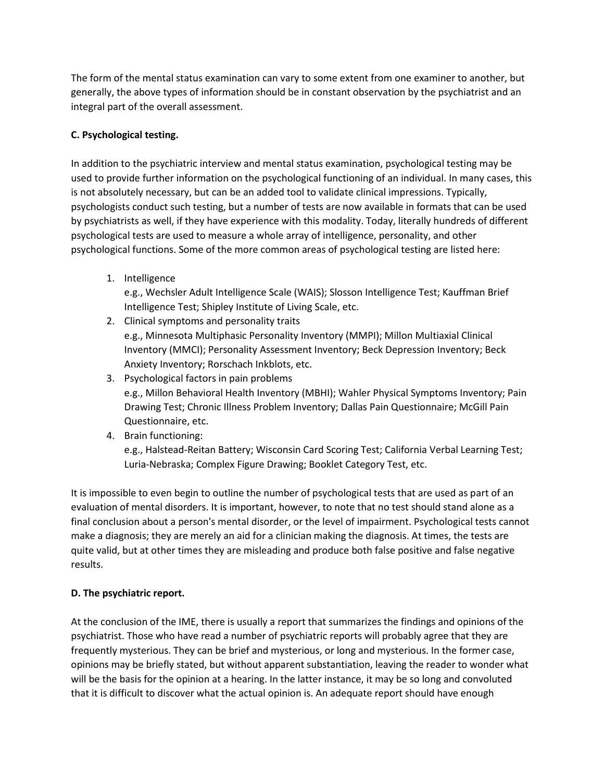The form of the mental status examination can vary to some extent from one examiner to another, but generally, the above types of information should be in constant observation by the psychiatrist and an integral part of the overall assessment.

# **C. Psychological testing.**

In addition to the psychiatric interview and mental status examination, psychological testing may be used to provide further information on the psychological functioning of an individual. In many cases, this is not absolutely necessary, but can be an added tool to validate clinical impressions. Typically, psychologists conduct such testing, but a number of tests are now available in formats that can be used by psychiatrists as well, if they have experience with this modality. Today, literally hundreds of different psychological tests are used to measure a whole array of intelligence, personality, and other psychological functions. Some of the more common areas of psychological testing are listed here:

1. Intelligence

e.g., Wechsler Adult Intelligence Scale (WAIS); Slosson Intelligence Test; Kauffman Brief Intelligence Test; Shipley Institute of Living Scale, etc.

2. Clinical symptoms and personality traits

e.g., Minnesota Multiphasic Personality Inventory (MMPI); Millon Multiaxial Clinical Inventory (MMCI); Personality Assessment Inventory; Beck Depression Inventory; Beck Anxiety Inventory; Rorschach Inkblots, etc.

- 3. Psychological factors in pain problems e.g., Millon Behavioral Health Inventory (MBHI); Wahler Physical Symptoms Inventory; Pain Drawing Test; Chronic Illness Problem Inventory; Dallas Pain Questionnaire; McGill Pain Questionnaire, etc.
- 4. Brain functioning: e.g., Halstead-Reitan Battery; Wisconsin Card Scoring Test; California Verbal Learning Test; Luria-Nebraska; Complex Figure Drawing; Booklet Category Test, etc.

It is impossible to even begin to outline the number of psychological tests that are used as part of an evaluation of mental disorders. It is important, however, to note that no test should stand alone as a final conclusion about a person's mental disorder, or the level of impairment. Psychological tests cannot make a diagnosis; they are merely an aid for a clinician making the diagnosis. At times, the tests are quite valid, but at other times they are misleading and produce both false positive and false negative results.

## **D. The psychiatric report.**

At the conclusion of the IME, there is usually a report that summarizes the findings and opinions of the psychiatrist. Those who have read a number of psychiatric reports will probably agree that they are frequently mysterious. They can be brief and mysterious, or long and mysterious. In the former case, opinions may be briefly stated, but without apparent substantiation, leaving the reader to wonder what will be the basis for the opinion at a hearing. In the latter instance, it may be so long and convoluted that it is difficult to discover what the actual opinion is. An adequate report should have enough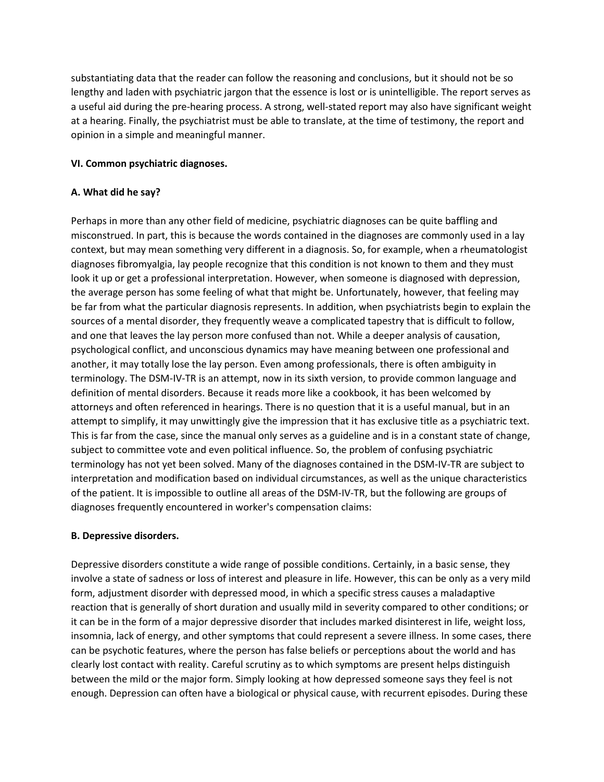substantiating data that the reader can follow the reasoning and conclusions, but it should not be so lengthy and laden with psychiatric jargon that the essence is lost or is unintelligible. The report serves as a useful aid during the pre-hearing process. A strong, well-stated report may also have significant weight at a hearing. Finally, the psychiatrist must be able to translate, at the time of testimony, the report and opinion in a simple and meaningful manner.

### **VI. Common psychiatric diagnoses.**

### **A. What did he say?**

Perhaps in more than any other field of medicine, psychiatric diagnoses can be quite baffling and misconstrued. In part, this is because the words contained in the diagnoses are commonly used in a lay context, but may mean something very different in a diagnosis. So, for example, when a rheumatologist diagnoses fibromyalgia, lay people recognize that this condition is not known to them and they must look it up or get a professional interpretation. However, when someone is diagnosed with depression, the average person has some feeling of what that might be. Unfortunately, however, that feeling may be far from what the particular diagnosis represents. In addition, when psychiatrists begin to explain the sources of a mental disorder, they frequently weave a complicated tapestry that is difficult to follow, and one that leaves the lay person more confused than not. While a deeper analysis of causation, psychological conflict, and unconscious dynamics may have meaning between one professional and another, it may totally lose the lay person. Even among professionals, there is often ambiguity in terminology. The DSM-IV-TR is an attempt, now in its sixth version, to provide common language and definition of mental disorders. Because it reads more like a cookbook, it has been welcomed by attorneys and often referenced in hearings. There is no question that it is a useful manual, but in an attempt to simplify, it may unwittingly give the impression that it has exclusive title as a psychiatric text. This is far from the case, since the manual only serves as a guideline and is in a constant state of change, subject to committee vote and even political influence. So, the problem of confusing psychiatric terminology has not yet been solved. Many of the diagnoses contained in the DSM-IV-TR are subject to interpretation and modification based on individual circumstances, as well as the unique characteristics of the patient. It is impossible to outline all areas of the DSM-IV-TR, but the following are groups of diagnoses frequently encountered in worker's compensation claims:

### **B. Depressive disorders.**

Depressive disorders constitute a wide range of possible conditions. Certainly, in a basic sense, they involve a state of sadness or loss of interest and pleasure in life. However, this can be only as a very mild form, adjustment disorder with depressed mood, in which a specific stress causes a maladaptive reaction that is generally of short duration and usually mild in severity compared to other conditions; or it can be in the form of a major depressive disorder that includes marked disinterest in life, weight loss, insomnia, lack of energy, and other symptoms that could represent a severe illness. In some cases, there can be psychotic features, where the person has false beliefs or perceptions about the world and has clearly lost contact with reality. Careful scrutiny as to which symptoms are present helps distinguish between the mild or the major form. Simply looking at how depressed someone says they feel is not enough. Depression can often have a biological or physical cause, with recurrent episodes. During these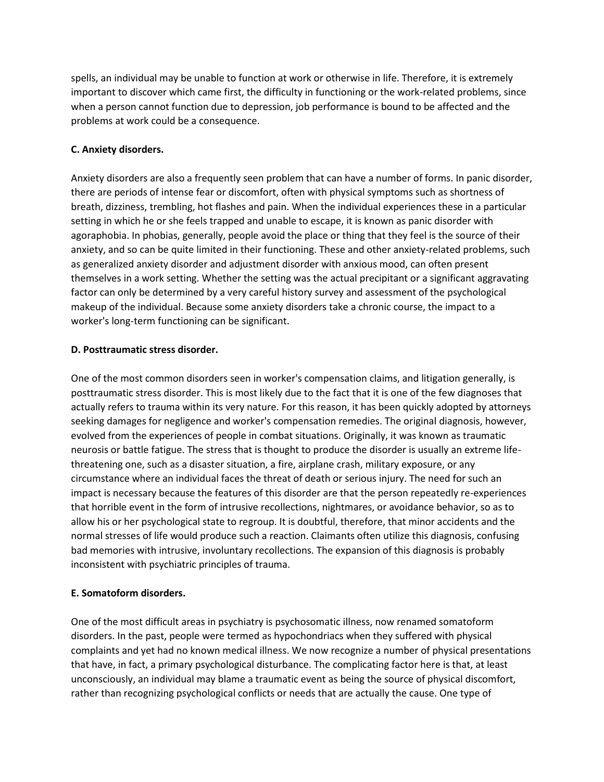spells, an individual may be unable to function at work or otherwise in life. Therefore, it is extremely important to discover which came first, the difficulty in functioning or the work-related problems, since when a person cannot function due to depression, job performance is bound to be affected and the problems at work could be a consequence.

### **C. Anxiety disorders.**

Anxiety disorders are also a frequently seen problem that can have a number of forms. In panic disorder, there are periods of intense fear or discomfort, often with physical symptoms such as shortness of breath, dizziness, trembling, hot flashes and pain. When the individual experiences these in a particular setting in which he or she feels trapped and unable to escape, it is known as panic disorder with agoraphobia. In phobias, generally, people avoid the place or thing that they feel is the source of their anxiety, and so can be quite limited in their functioning. These and other anxiety-related problems, such as generalized anxiety disorder and adjustment disorder with anxious mood, can often present themselves in a work setting. Whether the setting was the actual precipitant or a significant aggravating factor can only be determined by a very careful history survey and assessment of the psychological makeup of the individual. Because some anxiety disorders take a chronic course, the impact to a worker's long-term functioning can be significant.

### **D. Posttraumatic stress disorder.**

One of the most common disorders seen in worker's compensation claims, and litigation generally, is posttraumatic stress disorder. This is most likely due to the fact that it is one of the few diagnoses that actually refers to trauma within its very nature. For this reason, it has been quickly adopted by attorneys seeking damages for negligence and worker's compensation remedies. The original diagnosis, however, evolved from the experiences of people in combat situations. Originally, it was known as traumatic neurosis or battle fatigue. The stress that is thought to produce the disorder is usually an extreme lifethreatening one, such as a disaster situation, a fire, airplane crash, military exposure, or any circumstance where an individual faces the threat of death or serious injury. The need for such an impact is necessary because the features of this disorder are that the person repeatedly re-experiences that horrible event in the form of intrusive recollections, nightmares, or avoidance behavior, so as to allow his or her psychological state to regroup. It is doubtful, therefore, that minor accidents and the normal stresses of life would produce such a reaction. Claimants often utilize this diagnosis, confusing bad memories with intrusive, involuntary recollections. The expansion of this diagnosis is probably inconsistent with psychiatric principles of trauma.

### **E. Somatoform disorders.**

One of the most difficult areas in psychiatry is psychosomatic illness, now renamed somatoform disorders. In the past, people were termed as hypochondriacs when they suffered with physical complaints and yet had no known medical illness. We now recognize a number of physical presentations that have, in fact, a primary psychological disturbance. The complicating factor here is that, at least unconsciously, an individual may blame a traumatic event as being the source of physical discomfort, rather than recognizing psychological conflicts or needs that are actually the cause. One type of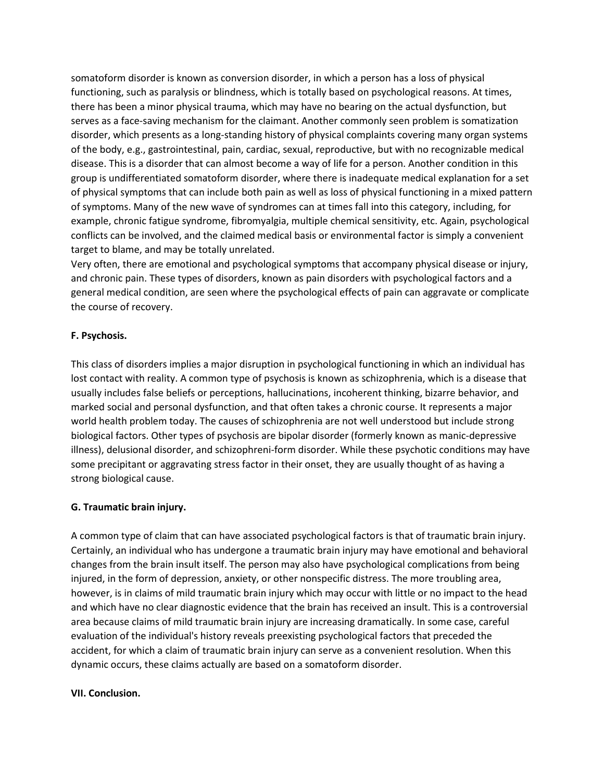somatoform disorder is known as conversion disorder, in which a person has a loss of physical functioning, such as paralysis or blindness, which is totally based on psychological reasons. At times, there has been a minor physical trauma, which may have no bearing on the actual dysfunction, but serves as a face-saving mechanism for the claimant. Another commonly seen problem is somatization disorder, which presents as a long-standing history of physical complaints covering many organ systems of the body, e.g., gastrointestinal, pain, cardiac, sexual, reproductive, but with no recognizable medical disease. This is a disorder that can almost become a way of life for a person. Another condition in this group is undifferentiated somatoform disorder, where there is inadequate medical explanation for a set of physical symptoms that can include both pain as well as loss of physical functioning in a mixed pattern of symptoms. Many of the new wave of syndromes can at times fall into this category, including, for example, chronic fatigue syndrome, fibromyalgia, multiple chemical sensitivity, etc. Again, psychological conflicts can be involved, and the claimed medical basis or environmental factor is simply a convenient target to blame, and may be totally unrelated.

Very often, there are emotional and psychological symptoms that accompany physical disease or injury, and chronic pain. These types of disorders, known as pain disorders with psychological factors and a general medical condition, are seen where the psychological effects of pain can aggravate or complicate the course of recovery.

## **F. Psychosis.**

This class of disorders implies a major disruption in psychological functioning in which an individual has lost contact with reality. A common type of psychosis is known as schizophrenia, which is a disease that usually includes false beliefs or perceptions, hallucinations, incoherent thinking, bizarre behavior, and marked social and personal dysfunction, and that often takes a chronic course. It represents a major world health problem today. The causes of schizophrenia are not well understood but include strong biological factors. Other types of psychosis are bipolar disorder (formerly known as manic-depressive illness), delusional disorder, and schizophreni-form disorder. While these psychotic conditions may have some precipitant or aggravating stress factor in their onset, they are usually thought of as having a strong biological cause.

## **G. Traumatic brain injury.**

A common type of claim that can have associated psychological factors is that of traumatic brain injury. Certainly, an individual who has undergone a traumatic brain injury may have emotional and behavioral changes from the brain insult itself. The person may also have psychological complications from being injured, in the form of depression, anxiety, or other nonspecific distress. The more troubling area, however, is in claims of mild traumatic brain injury which may occur with little or no impact to the head and which have no clear diagnostic evidence that the brain has received an insult. This is a controversial area because claims of mild traumatic brain injury are increasing dramatically. In some case, careful evaluation of the individual's history reveals preexisting psychological factors that preceded the accident, for which a claim of traumatic brain injury can serve as a convenient resolution. When this dynamic occurs, these claims actually are based on a somatoform disorder.

### **VII. Conclusion.**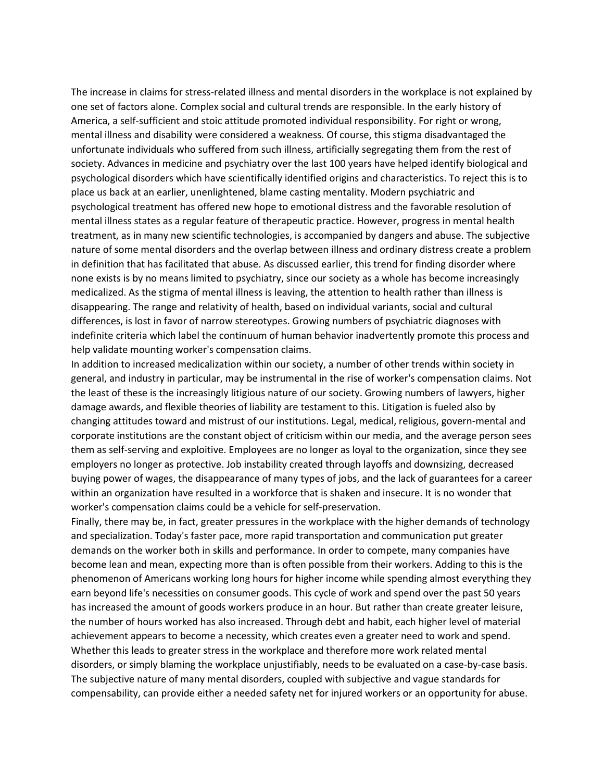The increase in claims for stress-related illness and mental disorders in the workplace is not explained by one set of factors alone. Complex social and cultural trends are responsible. In the early history of America, a self-sufficient and stoic attitude promoted individual responsibility. For right or wrong, mental illness and disability were considered a weakness. Of course, this stigma disadvantaged the unfortunate individuals who suffered from such illness, artificially segregating them from the rest of society. Advances in medicine and psychiatry over the last 100 years have helped identify biological and psychological disorders which have scientifically identified origins and characteristics. To reject this is to place us back at an earlier, unenlightened, blame casting mentality. Modern psychiatric and psychological treatment has offered new hope to emotional distress and the favorable resolution of mental illness states as a regular feature of therapeutic practice. However, progress in mental health treatment, as in many new scientific technologies, is accompanied by dangers and abuse. The subjective nature of some mental disorders and the overlap between illness and ordinary distress create a problem in definition that has facilitated that abuse. As discussed earlier, this trend for finding disorder where none exists is by no means limited to psychiatry, since our society as a whole has become increasingly medicalized. As the stigma of mental illness is leaving, the attention to health rather than illness is disappearing. The range and relativity of health, based on individual variants, social and cultural differences, is lost in favor of narrow stereotypes. Growing numbers of psychiatric diagnoses with indefinite criteria which label the continuum of human behavior inadvertently promote this process and help validate mounting worker's compensation claims.

In addition to increased medicalization within our society, a number of other trends within society in general, and industry in particular, may be instrumental in the rise of worker's compensation claims. Not the least of these is the increasingly litigious nature of our society. Growing numbers of lawyers, higher damage awards, and flexible theories of liability are testament to this. Litigation is fueled also by changing attitudes toward and mistrust of our institutions. Legal, medical, religious, govern-mental and corporate institutions are the constant object of criticism within our media, and the average person sees them as self-serving and exploitive. Employees are no longer as loyal to the organization, since they see employers no longer as protective. Job instability created through layoffs and downsizing, decreased buying power of wages, the disappearance of many types of jobs, and the lack of guarantees for a career within an organization have resulted in a workforce that is shaken and insecure. It is no wonder that worker's compensation claims could be a vehicle for self-preservation.

Finally, there may be, in fact, greater pressures in the workplace with the higher demands of technology and specialization. Today's faster pace, more rapid transportation and communication put greater demands on the worker both in skills and performance. In order to compete, many companies have become lean and mean, expecting more than is often possible from their workers. Adding to this is the phenomenon of Americans working long hours for higher income while spending almost everything they earn beyond life's necessities on consumer goods. This cycle of work and spend over the past 50 years has increased the amount of goods workers produce in an hour. But rather than create greater leisure, the number of hours worked has also increased. Through debt and habit, each higher level of material achievement appears to become a necessity, which creates even a greater need to work and spend. Whether this leads to greater stress in the workplace and therefore more work related mental disorders, or simply blaming the workplace unjustifiably, needs to be evaluated on a case-by-case basis. The subjective nature of many mental disorders, coupled with subjective and vague standards for compensability, can provide either a needed safety net for injured workers or an opportunity for abuse.